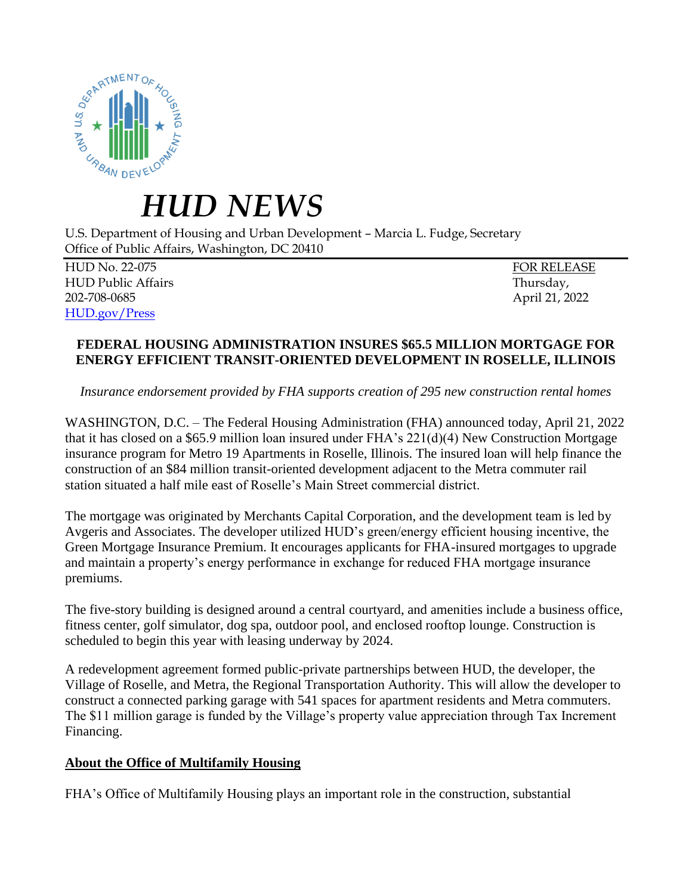

## *HUD NEWS*

U.S. Department of Housing and Urban Development – Marcia L. Fudge, Secretary Office of Public Affairs, Washington, DC 20410

HUD No. 22-075 FOR RELEASE HUD Public Affairs Thursday, 202-708-0685 April 21, 2022 [HUD.gov/Press](https://www.hud.gov/press)

## **FEDERAL HOUSING ADMINISTRATION INSURES \$65.5 MILLION MORTGAGE FOR ENERGY EFFICIENT TRANSIT-ORIENTED DEVELOPMENT IN ROSELLE, ILLINOIS**

*Insurance endorsement provided by FHA supports creation of 295 new construction rental homes*

WASHINGTON, D.C. – The Federal Housing Administration (FHA) announced today, April 21, 2022 that it has closed on a \$65.9 million loan insured under FHA's  $221(d)(4)$  New Construction Mortgage insurance program for Metro 19 Apartments in Roselle, Illinois. The insured loan will help finance the construction of an \$84 million transit-oriented development adjacent to the Metra commuter rail station situated a half mile east of Roselle's Main Street commercial district.

The mortgage was originated by Merchants Capital Corporation, and the development team is led by Avgeris and Associates. The developer utilized HUD's green/energy efficient housing incentive, the Green Mortgage Insurance Premium. It encourages applicants for FHA-insured mortgages to upgrade and maintain a property's energy performance in exchange for reduced FHA mortgage insurance premiums.

The five-story building is designed around a central courtyard, and amenities include a business office, fitness center, golf simulator, dog spa, outdoor pool, and enclosed rooftop lounge. Construction is scheduled to begin this year with leasing underway by 2024.

A redevelopment agreement formed public-private partnerships between HUD, the developer, the Village of Roselle, and Metra, the Regional Transportation Authority. This will allow the developer to construct a connected parking garage with 541 spaces for apartment residents and Metra commuters. The \$11 million garage is funded by the Village's property value appreciation through Tax Increment Financing.

## **About the Office of Multifamily Housing**

FHA's Office of Multifamily Housing plays an important role in the construction, substantial